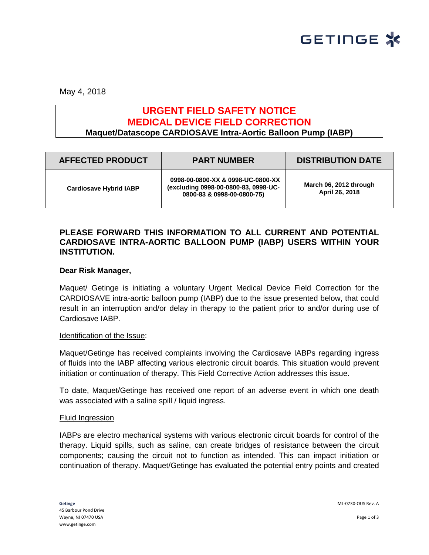

May 4, 2018

# **URGENT FIELD SAFETY NOTICE MEDICAL DEVICE FIELD CORRECTION Maquet/Datascope CARDIOSAVE Intra-Aortic Balloon Pump (IABP)**

| <b>AFFECTED PRODUCT</b>       | <b>PART NUMBER</b>                                                                                      | <b>DISTRIBUTION DATE</b>                 |
|-------------------------------|---------------------------------------------------------------------------------------------------------|------------------------------------------|
| <b>Cardiosave Hybrid IABP</b> | 0998-00-0800-XX & 0998-UC-0800-XX<br>(excluding 0998-00-0800-83, 0998-UC-<br>0800-83 & 0998-00-0800-75) | March 06, 2012 through<br>April 26, 2018 |

## **PLEASE FORWARD THIS INFORMATION TO ALL CURRENT AND POTENTIAL CARDIOSAVE INTRA-AORTIC BALLOON PUMP (IABP) USERS WITHIN YOUR INSTITUTION.**

## **Dear Risk Manager,**

Maquet/ Getinge is initiating a voluntary Urgent Medical Device Field Correction for the CARDIOSAVE intra-aortic balloon pump (IABP) due to the issue presented below, that could result in an interruption and/or delay in therapy to the patient prior to and/or during use of Cardiosave IABP.

## Identification of the Issue:

Maquet/Getinge has received complaints involving the Cardiosave IABPs regarding ingress of fluids into the IABP affecting various electronic circuit boards. This situation would prevent initiation or continuation of therapy. This Field Corrective Action addresses this issue.

To date, Maquet/Getinge has received one report of an adverse event in which one death was associated with a saline spill / liquid ingress.

#### Fluid Ingression

IABPs are electro mechanical systems with various electronic circuit boards for control of the therapy. Liquid spills, such as saline, can create bridges of resistance between the circuit components; causing the circuit not to function as intended. This can impact initiation or continuation of therapy. Maquet/Getinge has evaluated the potential entry points and created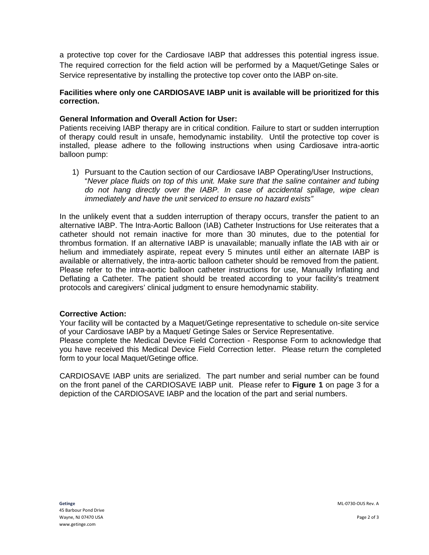a protective top cover for the Cardiosave IABP that addresses this potential ingress issue. The required correction for the field action will be performed by a Maquet/Getinge Sales or Service representative by installing the protective top cover onto the IABP on-site.

## **Facilities where only one CARDIOSAVE IABP unit is available will be prioritized for this correction.**

## **General Information and Overall Action for User:**

Patients receiving IABP therapy are in critical condition. Failure to start or sudden interruption of therapy could result in unsafe, hemodynamic instability. Until the protective top cover is installed, please adhere to the following instructions when using Cardiosave intra-aortic balloon pump:

1) Pursuant to the Caution section of our Cardiosave IABP Operating/User Instructions, "*Never place fluids on top of this unit. Make sure that the saline container and tubing do not hang directly over the IABP. In case of accidental spillage, wipe clean immediately and have the unit serviced to ensure no hazard exists"*

In the unlikely event that a sudden interruption of therapy occurs, transfer the patient to an alternative IABP. The Intra-Aortic Balloon (IAB) Catheter Instructions for Use reiterates that a catheter should not remain inactive for more than 30 minutes, due to the potential for thrombus formation. If an alternative IABP is unavailable; manually inflate the IAB with air or helium and immediately aspirate, repeat every 5 minutes until either an alternate IABP is available or alternatively, the intra-aortic balloon catheter should be removed from the patient. Please refer to the intra-aortic balloon catheter instructions for use, Manually Inflating and Deflating a Catheter. The patient should be treated according to your facility's treatment protocols and caregivers' clinical judgment to ensure hemodynamic stability.

## **Corrective Action:**

Your facility will be contacted by a Maquet/Getinge representative to schedule on-site service of your Cardiosave IABP by a Maquet/ Getinge Sales or Service Representative.

Please complete the Medical Device Field Correction - Response Form to acknowledge that you have received this Medical Device Field Correction letter. Please return the completed form to your local Maquet/Getinge office.

CARDIOSAVE IABP units are serialized. The part number and serial number can be found on the front panel of the CARDIOSAVE IABP unit. Please refer to **Figure 1** on page 3 for a depiction of the CARDIOSAVE IABP and the location of the part and serial numbers.